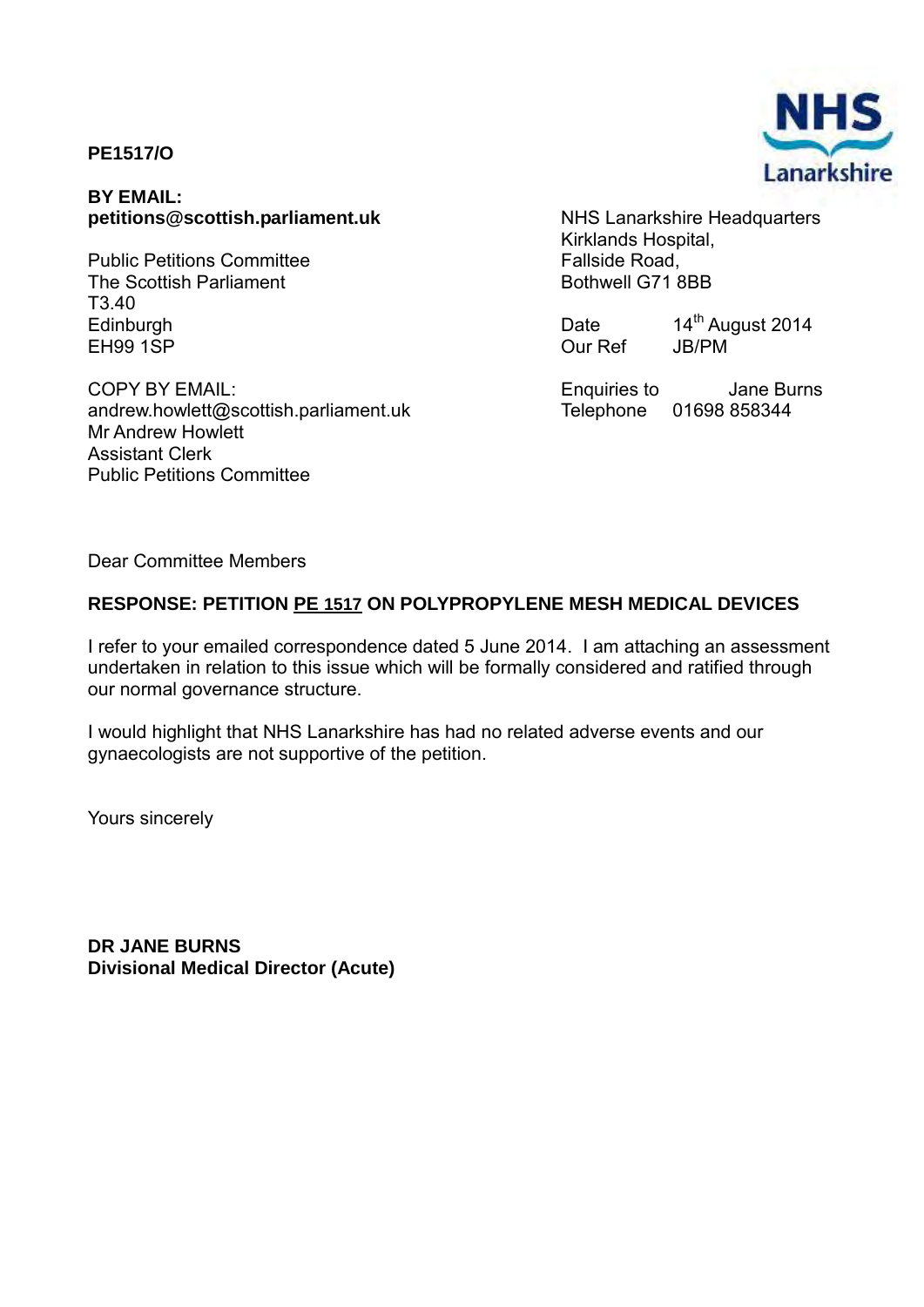# **PE1517/O**

#### **BY EMAIL: petitions@scottish.parliament.uk**

Public Petitions Committee The Scottish Parliament T3.40 Edinburgh EH99 1SP

COPY BY EMAIL: andrew.howlett@scottish.parliament.uk Mr Andrew Howlett Assistant Clerk Public Petitions Committee

NHS Lanarkshire Headquarters Kirklands Hospital, Fallside Road, Bothwell G71 8BB

Date 14<sup>th</sup> August 2014<br>Our Ref JB/PM Our Ref

Enquiries to Jane Burns Telephone 01698 858344

Dear Committee Members

## **RESPONSE: PETITION PE 1517 ON POLYPROPYLENE MESH MEDICAL DEVICES**

I refer to your emailed correspondence dated 5 June 2014. I am attaching an assessment undertaken in relation to this issue which will be formally considered and ratified through our normal governance structure.

I would highlight that NHS Lanarkshire has had no related adverse events and our gynaecologists are not supportive of the petition.

Yours sincerely

**DR JANE BURNS Divisional Medical Director (Acute)** 

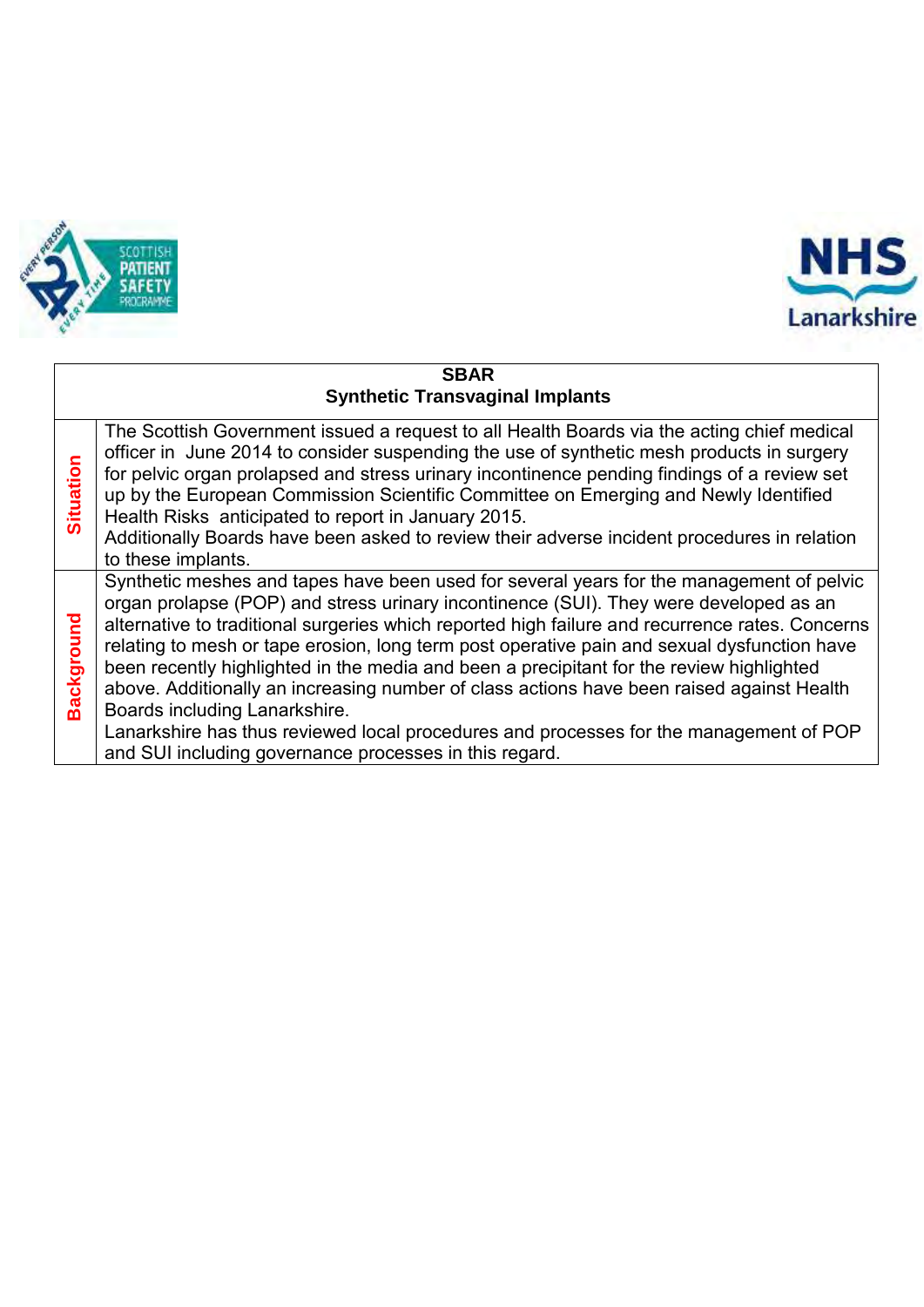



#### **SBAR Synthetic Transvaginal Implants Situation** The Scottish Government issued a request to all Health Boards via the acting chief medical officer in June 2014 to consider suspending the use of synthetic mesh products in surgery for pelvic organ prolapsed and stress urinary incontinence pending findings of a review set up by the European Commission Scientific Committee on Emerging and Newly Identified Health Risks anticipated to report in January 2015. Additionally Boards have been asked to review their adverse incident procedures in relation to these implants. **Background** Synthetic meshes and tapes have been used for several years for the management of pelvic organ prolapse (POP) and stress urinary incontinence (SUI). They were developed as an alternative to traditional surgeries which reported high failure and recurrence rates. Concerns relating to mesh or tape erosion, long term post operative pain and sexual dysfunction have been recently highlighted in the media and been a precipitant for the review highlighted above. Additionally an increasing number of class actions have been raised against Health Boards including Lanarkshire. Lanarkshire has thus reviewed local procedures and processes for the management of POP and SUI including governance processes in this regard.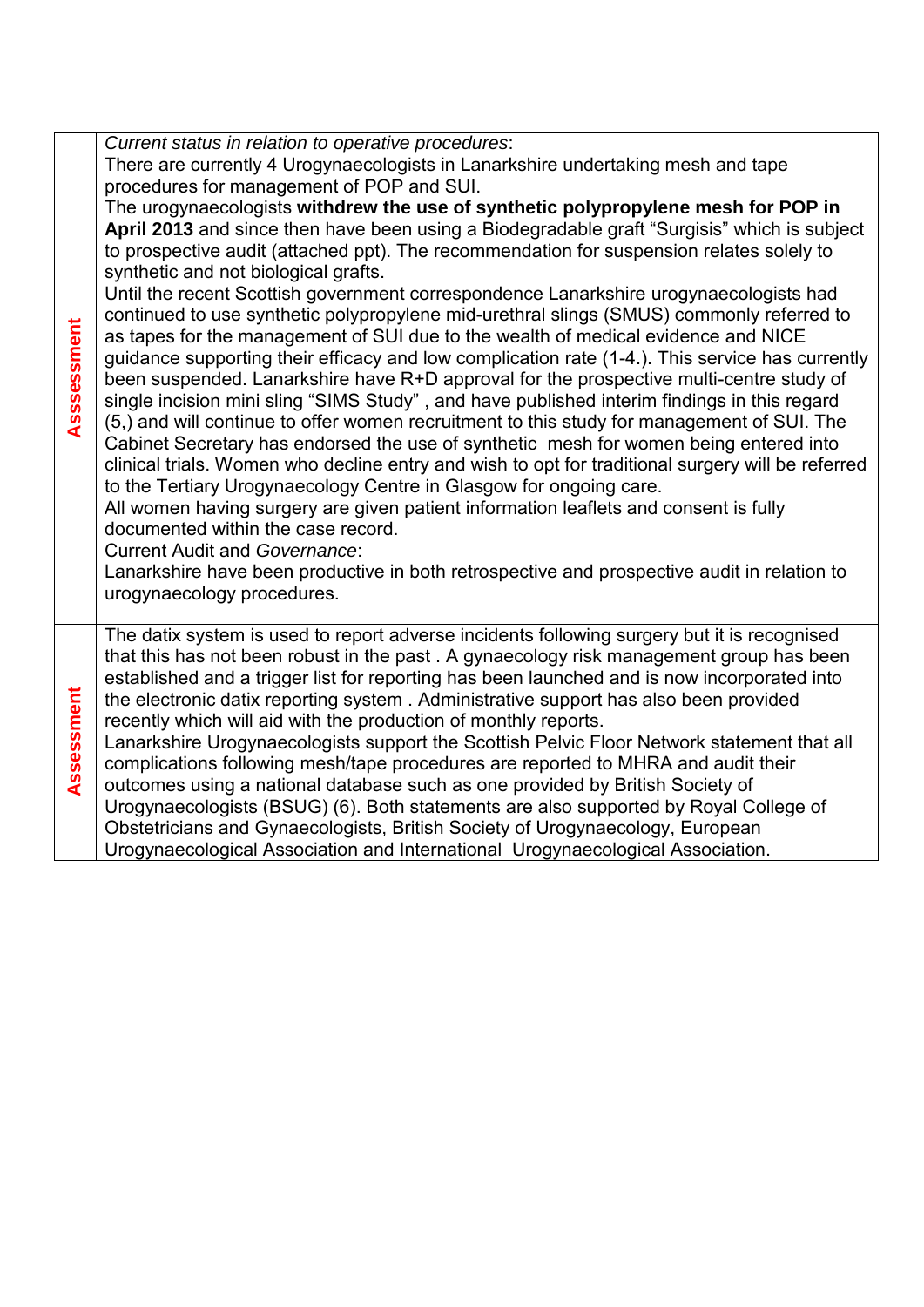| There are currently 4 Urogynaecologists in Lanarkshire undertaking mesh and tape<br>procedures for management of POP and SUI.<br>The urogynaecologists withdrew the use of synthetic polypropylene mesh for POP in<br>April 2013 and since then have been using a Biodegradable graft "Surgisis" which is subject<br>to prospective audit (attached ppt). The recommendation for suspension relates solely to<br>synthetic and not biological grafts.<br>Until the recent Scottish government correspondence Lanarkshire urogynaecologists had<br>continued to use synthetic polypropylene mid-urethral slings (SMUS) commonly referred to<br>as tapes for the management of SUI due to the wealth of medical evidence and NICE<br>guidance supporting their efficacy and low complication rate (1-4). This service has currently<br>been suspended. Lanarkshire have R+D approval for the prospective multi-centre study of<br>single incision mini sling "SIMS Study", and have published interim findings in this regard<br>(5,) and will continue to offer women recruitment to this study for management of SUI. The<br>Cabinet Secretary has endorsed the use of synthetic mesh for women being entered into<br>clinical trials. Women who decline entry and wish to opt for traditional surgery will be referred<br>to the Tertiary Urogynaecology Centre in Glasgow for ongoing care.<br>All women having surgery are given patient information leaflets and consent is fully<br>documented within the case record. |
|-----------------------------------------------------------------------------------------------------------------------------------------------------------------------------------------------------------------------------------------------------------------------------------------------------------------------------------------------------------------------------------------------------------------------------------------------------------------------------------------------------------------------------------------------------------------------------------------------------------------------------------------------------------------------------------------------------------------------------------------------------------------------------------------------------------------------------------------------------------------------------------------------------------------------------------------------------------------------------------------------------------------------------------------------------------------------------------------------------------------------------------------------------------------------------------------------------------------------------------------------------------------------------------------------------------------------------------------------------------------------------------------------------------------------------------------------------------------------------------------------------------------------------|
| <b>Current Audit and Governance:</b><br>Lanarkshire have been productive in both retrospective and prospective audit in relation to<br>urogynaecology procedures.                                                                                                                                                                                                                                                                                                                                                                                                                                                                                                                                                                                                                                                                                                                                                                                                                                                                                                                                                                                                                                                                                                                                                                                                                                                                                                                                                           |
| The datix system is used to report adverse incidents following surgery but it is recognised<br>that this has not been robust in the past. A gynaecology risk management group has been<br>established and a trigger list for reporting has been launched and is now incorporated into<br>the electronic datix reporting system. Administrative support has also been provided<br>recently which will aid with the production of monthly reports.<br>Lanarkshire Urogynaecologists support the Scottish Pelvic Floor Network statement that all<br>complications following mesh/tape procedures are reported to MHRA and audit their<br>outcomes using a national database such as one provided by British Society of<br>Urogynaecologists (BSUG) (6). Both statements are also supported by Royal College of<br>Obstetricians and Gynaecologists, British Society of Urogynaecology, European<br>Urogynaecological Association and International Urogynaecological Association.                                                                                                                                                                                                                                                                                                                                                                                                                                                                                                                                             |
|                                                                                                                                                                                                                                                                                                                                                                                                                                                                                                                                                                                                                                                                                                                                                                                                                                                                                                                                                                                                                                                                                                                                                                                                                                                                                                                                                                                                                                                                                                                             |